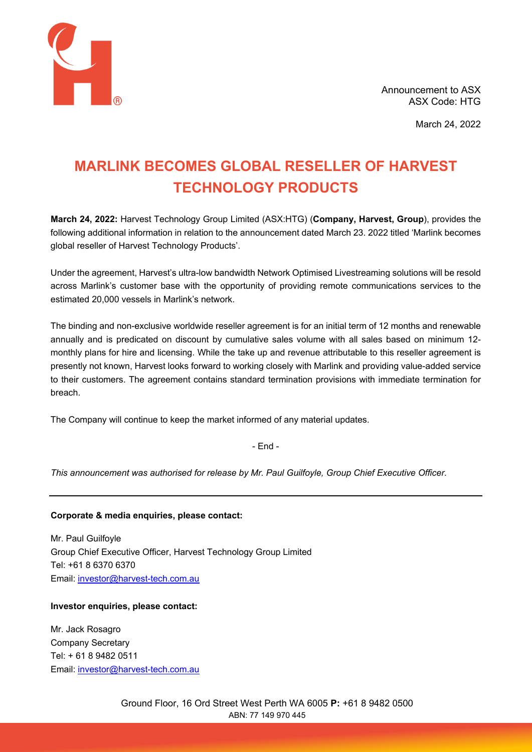

March 24, 2022

# **MARLINK BECOMES GLOBAL RESELLER OF HARVEST TECHNOLOGY PRODUCTS**

**March 24, 2022:** Harvest Technology Group Limited (ASX:HTG) (**Company, Harvest, Group**), provides the following additional information in relation to the announcement dated March 23. 2022 titled 'Marlink becomes global reseller of Harvest Technology Products'.

Under the agreement, Harvest's ultra-low bandwidth Network Optimised Livestreaming solutions will be resold across Marlink's customer base with the opportunity of providing remote communications services to the estimated 20,000 vessels in Marlink's network.

The binding and non-exclusive worldwide reseller agreement is for an initial term of 12 months and renewable annually and is predicated on discount by cumulative sales volume with all sales based on minimum 12 monthly plans for hire and licensing. While the take up and revenue attributable to this reseller agreement is presently not known, Harvest looks forward to working closely with Marlink and providing value-added service to their customers. The agreement contains standard termination provisions with immediate termination for breach.

The Company will continue to keep the market informed of any material updates.

- End -

*This announcement was authorised for release by Mr. Paul Guilfoyle, Group Chief Executive Officer.*

## **Corporate & media enquiries, please contact:**

Mr. Paul Guilfoyle Group Chief Executive Officer, Harvest Technology Group Limited Tel: +61 8 6370 6370 Email: [investor@harvest-tech.com.au](mailto:investor@harvest-tech.com.au)

## **Investor enquiries, please contact:**

Mr. Jack Rosagro Company Secretary Tel: + 61 8 9482 0511 Email: [investor@harvest-tech.com.au](mailto:investor@harvest-tech.com.au)